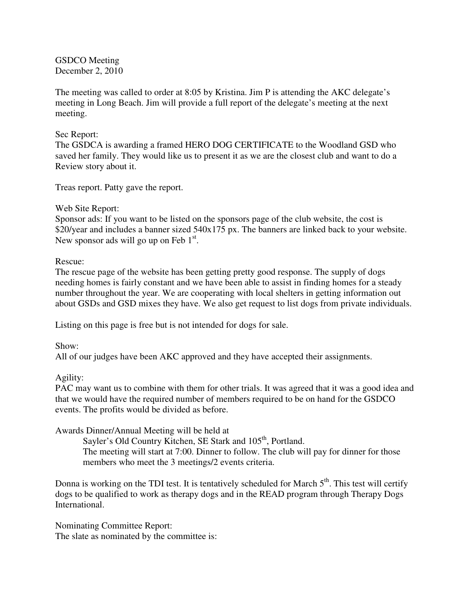GSDCO Meeting December 2, 2010

The meeting was called to order at 8:05 by Kristina. Jim P is attending the AKC delegate's meeting in Long Beach. Jim will provide a full report of the delegate's meeting at the next meeting.

### Sec Report:

The GSDCA is awarding a framed HERO DOG CERTIFICATE to the Woodland GSD who saved her family. They would like us to present it as we are the closest club and want to do a Review story about it.

Treas report. Patty gave the report.

### Web Site Report:

Sponsor ads: If you want to be listed on the sponsors page of the club website, the cost is \$20/year and includes a banner sized 540x175 px. The banners are linked back to your website. New sponsor ads will go up on Feb  $1<sup>st</sup>$ .

# Rescue:

The rescue page of the website has been getting pretty good response. The supply of dogs needing homes is fairly constant and we have been able to assist in finding homes for a steady number throughout the year. We are cooperating with local shelters in getting information out about GSDs and GSD mixes they have. We also get request to list dogs from private individuals.

Listing on this page is free but is not intended for dogs for sale.

# Show:

All of our judges have been AKC approved and they have accepted their assignments.

# Agility:

PAC may want us to combine with them for other trials. It was agreed that it was a good idea and that we would have the required number of members required to be on hand for the GSDCO events. The profits would be divided as before.

Awards Dinner/Annual Meeting will be held at

Sayler's Old Country Kitchen, SE Stark and 105<sup>th</sup>, Portland. The meeting will start at 7:00. Dinner to follow. The club will pay for dinner for those members who meet the 3 meetings/2 events criteria.

Donna is working on the TDI test. It is tentatively scheduled for March  $5<sup>th</sup>$ . This test will certify dogs to be qualified to work as therapy dogs and in the READ program through Therapy Dogs International.

Nominating Committee Report: The slate as nominated by the committee is: